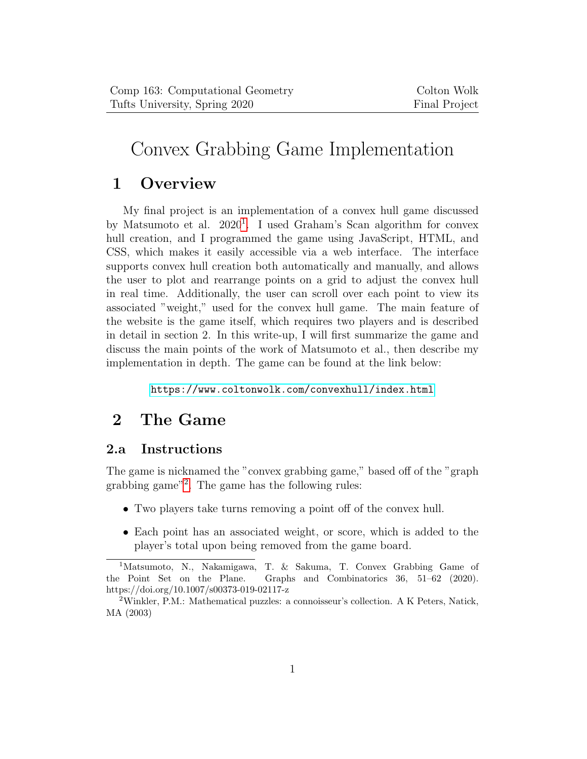# Convex Grabbing Game Implementation

# 1 Overview

My final project is an implementation of a convex hull game discussed by Matsumoto et al. 2020<sup>[1](#page-0-0)</sup>. I used Graham's Scan algorithm for convex hull creation, and I programmed the game using JavaScript, HTML, and CSS, which makes it easily accessible via a web interface. The interface supports convex hull creation both automatically and manually, and allows the user to plot and rearrange points on a grid to adjust the convex hull in real time. Additionally, the user can scroll over each point to view its associated "weight," used for the convex hull game. The main feature of the website is the game itself, which requires two players and is described in detail in section 2. In this write-up, I will first summarize the game and discuss the main points of the work of Matsumoto et al., then describe my implementation in depth. The game can be found at the link below:

<https://www.coltonwolk.com/convexhull/index.html>

# 2 The Game

#### 2.a Instructions

The game is nicknamed the "convex grabbing game," based off of the "graph grabbing game"[2](#page-0-1) . The game has the following rules:

- Two players take turns removing a point off of the convex hull.
- Each point has an associated weight, or score, which is added to the player's total upon being removed from the game board.

<span id="page-0-0"></span><sup>&</sup>lt;sup>1</sup>Matsumoto, N., Nakamigawa, T. & Sakuma, T. Convex Grabbing Game of the Point Set on the Plane. Graphs and Combinatorics 36, 51–62 (2020). https://doi.org/10.1007/s00373-019-02117-z

<span id="page-0-1"></span><sup>&</sup>lt;sup>2</sup>Winkler, P.M.: Mathematical puzzles: a connoisseur's collection. A K Peters, Natick, MA (2003)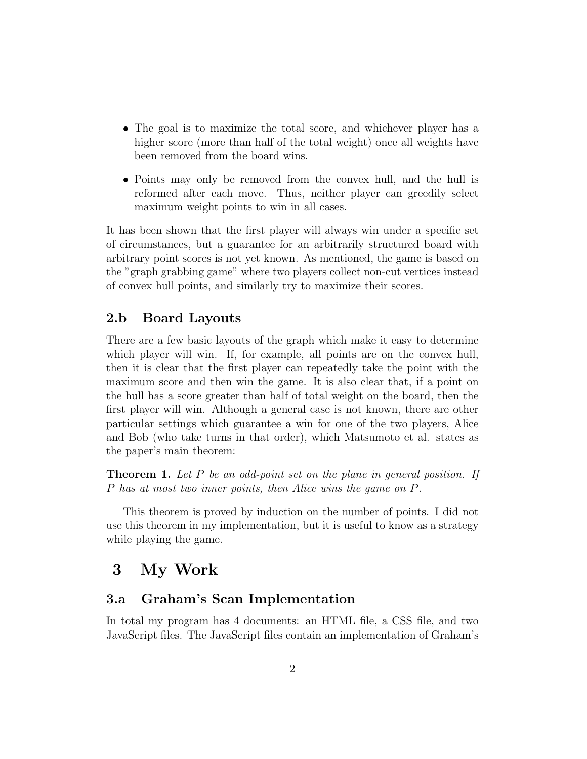- The goal is to maximize the total score, and whichever player has a higher score (more than half of the total weight) once all weights have been removed from the board wins.
- Points may only be removed from the convex hull, and the hull is reformed after each move. Thus, neither player can greedily select maximum weight points to win in all cases.

It has been shown that the first player will always win under a specific set of circumstances, but a guarantee for an arbitrarily structured board with arbitrary point scores is not yet known. As mentioned, the game is based on the "graph grabbing game" where two players collect non-cut vertices instead of convex hull points, and similarly try to maximize their scores.

#### 2.b Board Layouts

There are a few basic layouts of the graph which make it easy to determine which player will win. If, for example, all points are on the convex hull, then it is clear that the first player can repeatedly take the point with the maximum score and then win the game. It is also clear that, if a point on the hull has a score greater than half of total weight on the board, then the first player will win. Although a general case is not known, there are other particular settings which guarantee a win for one of the two players, Alice and Bob (who take turns in that order), which Matsumoto et al. states as the paper's main theorem:

**Theorem 1.** Let  $P$  be an odd-point set on the plane in general position. If P has at most two inner points, then Alice wins the game on P.

This theorem is proved by induction on the number of points. I did not use this theorem in my implementation, but it is useful to know as a strategy while playing the game.

### 3 My Work

#### 3.a Graham's Scan Implementation

In total my program has 4 documents: an HTML file, a CSS file, and two JavaScript files. The JavaScript files contain an implementation of Graham's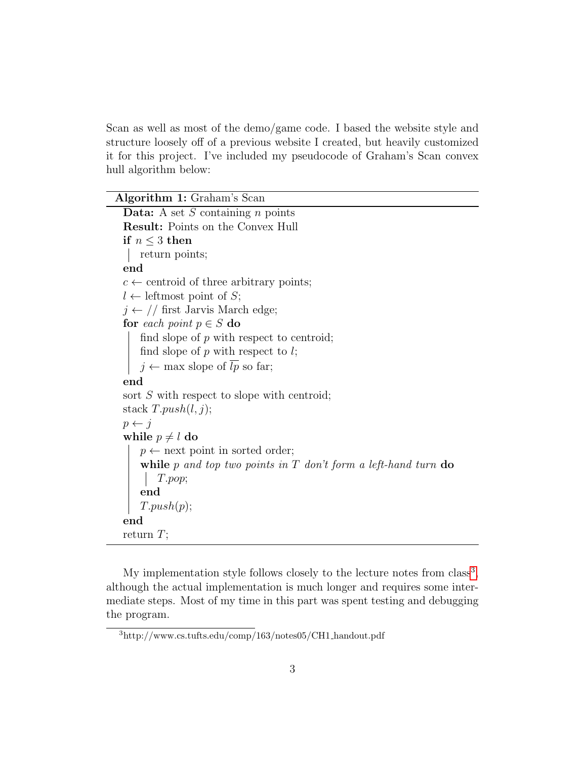Scan as well as most of the demo/game code. I based the website style and structure loosely off of a previous website I created, but heavily customized it for this project. I've included my pseudocode of Graham's Scan convex hull algorithm below:

 $\overline{\phantom{0}}$ 

| Algorithm 1: Graham's Scan                                       |
|------------------------------------------------------------------|
| <b>Data:</b> A set $S$ containing $n$ points                     |
| <b>Result:</b> Points on the Convex Hull                         |
| if $n \leq 3$ then                                               |
| return points;                                                   |
| end                                                              |
| $c \leftarrow$ centroid of three arbitrary points;               |
| $l \leftarrow$ leftmost point of S;                              |
| $j \leftarrow \textit{// first Jarvis March edge};$              |
| for each point $p \in S$ do                                      |
| find slope of $p$ with respect to centroid;                      |
| find slope of $p$ with respect to $l$ ;                          |
| $j \leftarrow \max$ slope of $\overline{lp}$ so far;             |
| end                                                              |
| sort $S$ with respect to slope with centroid;                    |
| stack $T.push(l, j);$                                            |
| $p \leftarrow j$                                                 |
| while $p \neq l$ do                                              |
| $p \leftarrow$ next point in sorted order;                       |
| while p and top two points in $T$ don't form a left-hand turn do |
| T.pop;                                                           |
| end                                                              |
| T.push(p);                                                       |
| end                                                              |
| return $T$ ;                                                     |

My implementation style follows closely to the lecture notes from  $class<sup>3</sup>$  $class<sup>3</sup>$  $class<sup>3</sup>$ , although the actual implementation is much longer and requires some intermediate steps. Most of my time in this part was spent testing and debugging the program.

<span id="page-2-0"></span> $^3$ http://www.cs.tufts.edu/comp/163/notes05/CH1\_handout.pdf